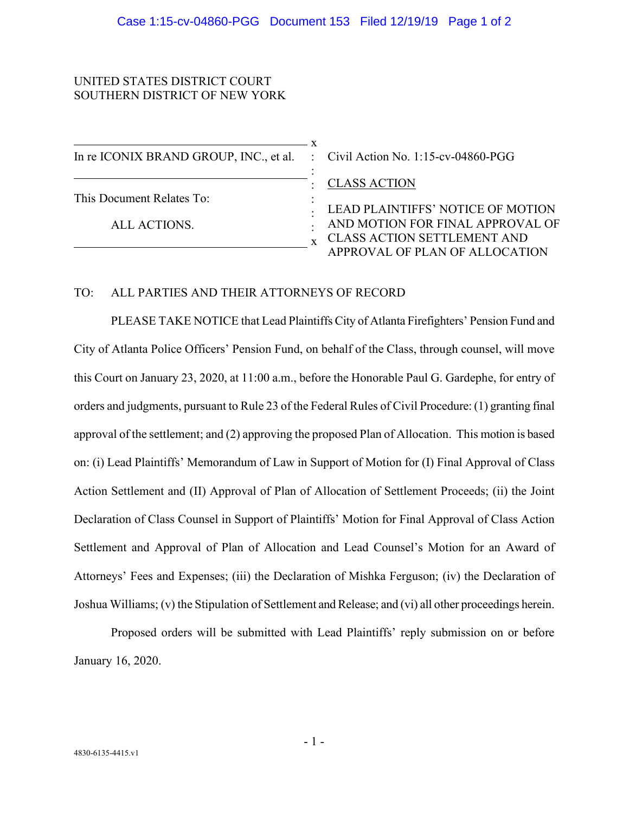## UNITED STATES DISTRICT COURT SOUTHERN DISTRICT OF NEW YORK

| In re ICONIX BRAND GROUP, INC., et al. : Civil Action No. 1:15-cv-04860-PGG |                                   |
|-----------------------------------------------------------------------------|-----------------------------------|
|                                                                             | <b>CLASS ACTION</b>               |
| This Document Relates To:                                                   | LEAD PLAINTIFFS' NOTICE OF MOTION |
| ALL ACTIONS.                                                                | AND MOTION FOR FINAL APPROVAL OF  |
|                                                                             | CLASS ACTION SETTLEMENT AND       |
|                                                                             | APPROVAL OF PLAN OF ALLOCATION    |

## TO: ALL PARTIES AND THEIR ATTORNEYS OF RECORD

PLEASE TAKE NOTICE that Lead Plaintiffs City of Atlanta Firefighters' Pension Fund and City of Atlanta Police Officers' Pension Fund, on behalf of the Class, through counsel, will move this Court on January 23, 2020, at 11:00 a.m., before the Honorable Paul G. Gardephe, for entry of orders and judgments, pursuant to Rule 23 of the Federal Rules of Civil Procedure: (1) granting final approval of the settlement; and (2) approving the proposed Plan of Allocation. This motion is based on: (i) Lead Plaintiffs' Memorandum of Law in Support of Motion for (I) Final Approval of Class Action Settlement and (II) Approval of Plan of Allocation of Settlement Proceeds; (ii) the Joint Declaration of Class Counsel in Support of Plaintiffs' Motion for Final Approval of Class Action Settlement and Approval of Plan of Allocation and Lead Counsel's Motion for an Award of Attorneys' Fees and Expenses; (iii) the Declaration of Mishka Ferguson; (iv) the Declaration of Joshua Williams; (v) the Stipulation of Settlement and Release; and (vi) all other proceedings herein.

Proposed orders will be submitted with Lead Plaintiffs' reply submission on or before January 16, 2020.